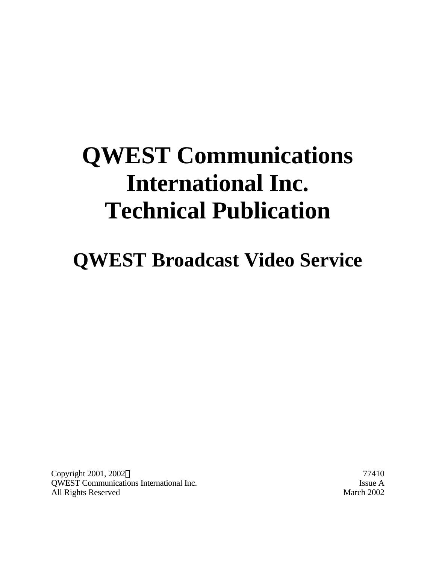# **QWEST Communications International Inc. Technical Publication**

**QWEST Broadcast Video Service**

Copyright 2001, 2002 $\odot$  77410 QWEST Communications International Inc. Issue A All Rights Reserved March 2002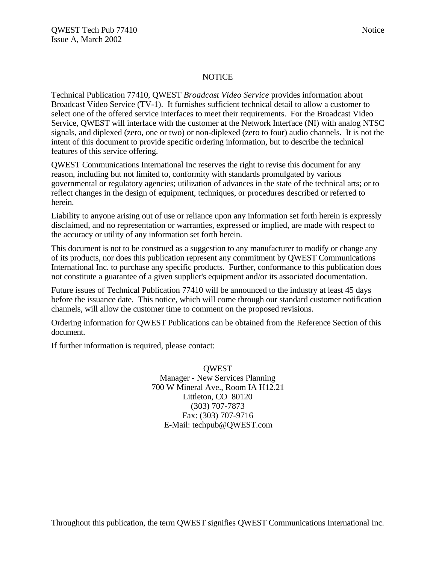#### NOTICE

Technical Publication 77410, QWEST *Broadcast Video Service* provides information about Broadcast Video Service (TV-1). It furnishes sufficient technical detail to allow a customer to select one of the offered service interfaces to meet their requirements. For the Broadcast Video Service, QWEST will interface with the customer at the Network Interface (NI) with analog NTSC signals, and diplexed (zero, one or two) or non-diplexed (zero to four) audio channels. It is not the intent of this document to provide specific ordering information, but to describe the technical features of this service offering.

QWEST Communications International Inc reserves the right to revise this document for any reason, including but not limited to, conformity with standards promulgated by various governmental or regulatory agencies; utilization of advances in the state of the technical arts; or to reflect changes in the design of equipment, techniques, or procedures described or referred to herein.

Liability to anyone arising out of use or reliance upon any information set forth herein is expressly disclaimed, and no representation or warranties, expressed or implied, are made with respect to the accuracy or utility of any information set forth herein.

This document is not to be construed as a suggestion to any manufacturer to modify or change any of its products, nor does this publication represent any commitment by QWEST Communications International Inc. to purchase any specific products. Further, conformance to this publication does not constitute a guarantee of a given supplier's equipment and/or its associated documentation.

Future issues of Technical Publication 77410 will be announced to the industry at least 45 days before the issuance date. This notice, which will come through our standard customer notification channels, will allow the customer time to comment on the proposed revisions.

Ordering information for QWEST Publications can be obtained from the Reference Section of this document.

If further information is required, please contact:

**OWEST** Manager - New Services Planning 700 W Mineral Ave., Room IA H12.21 Littleton, CO 80120 (303) 707-7873 Fax: (303) 707-9716 E-Mail: techpub@QWEST.com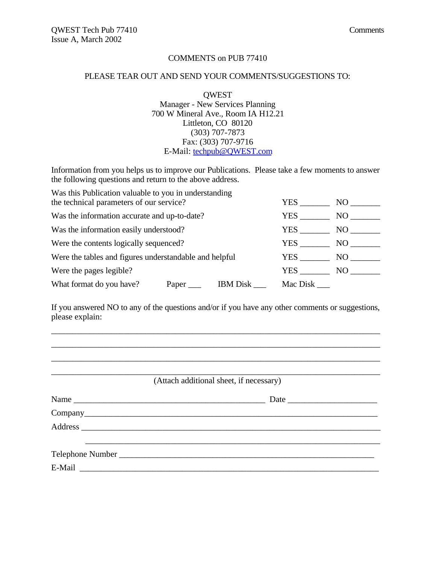#### COMMENTS on PUB 77410

#### PLEASE TEAR OUT AND SEND YOUR COMMENTS/SUGGESTIONS TO:

**OWEST** Manager - New Services Planning 700 W Mineral Ave., Room IA H12.21 Littleton, CO 80120 (303) 707-7873 Fax: (303) 707-9716 E-Mail: techpub@QWEST.com

Information from you helps us to improve our Publications. Please take a few moments to answer the following questions and return to the above address.

| Was this Publication valuable to you in understanding  |                 |          |      |  |
|--------------------------------------------------------|-----------------|----------|------|--|
| the technical parameters of our service?               |                 | YES      | NO.  |  |
| Was the information accurate and up-to-date?           |                 | YES.     | NO.  |  |
| Was the information easily understood?                 |                 | YES.     | NO   |  |
| Were the contents logically sequenced?                 |                 | YES      | NO - |  |
| Were the tables and figures understandable and helpful |                 | YES      | NO.  |  |
| Were the pages legible?                                | YES.            | NO.      |      |  |
| What format do you have?                               | <b>IBM</b> Disk | Mac Disk |      |  |

If you answered NO to any of the questions and/or if you have any other comments or suggestions, please explain:

\_\_\_\_\_\_\_\_\_\_\_\_\_\_\_\_\_\_\_\_\_\_\_\_\_\_\_\_\_\_\_\_\_\_\_\_\_\_\_\_\_\_\_\_\_\_\_\_\_\_\_\_\_\_\_\_\_\_\_\_\_\_\_\_\_\_\_\_\_\_\_\_\_\_\_\_\_ \_\_\_\_\_\_\_\_\_\_\_\_\_\_\_\_\_\_\_\_\_\_\_\_\_\_\_\_\_\_\_\_\_\_\_\_\_\_\_\_\_\_\_\_\_\_\_\_\_\_\_\_\_\_\_\_\_\_\_\_\_\_\_\_\_\_\_\_\_\_\_\_\_\_\_\_\_ \_\_\_\_\_\_\_\_\_\_\_\_\_\_\_\_\_\_\_\_\_\_\_\_\_\_\_\_\_\_\_\_\_\_\_\_\_\_\_\_\_\_\_\_\_\_\_\_\_\_\_\_\_\_\_\_\_\_\_\_\_\_\_\_\_\_\_\_\_\_\_\_\_\_\_\_\_

| (Attach additional sheet, if necessary) |  |  |  |
|-----------------------------------------|--|--|--|
|                                         |  |  |  |
|                                         |  |  |  |
|                                         |  |  |  |
|                                         |  |  |  |
|                                         |  |  |  |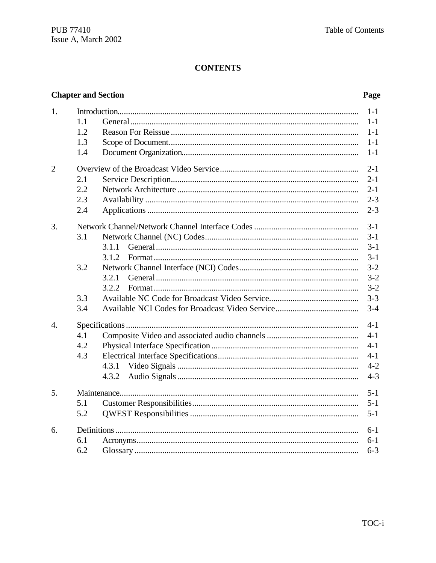# **Chapter and Section**

# Page

| 1.               | 1.1<br>1.2<br>1.3<br>1.4            | $1 - 1$<br>$1 - 1$<br>$1 - 1$<br>$1 - 1$<br>$1 - 1$            |
|------------------|-------------------------------------|----------------------------------------------------------------|
| $\overline{2}$   | 2.1<br>2.2<br>2.3<br>2.4            | $2 - 1$<br>$2 - 1$<br>$2 - 1$<br>$2 - 3$<br>$2 - 3$            |
| 3.               | 3.1<br>3.1.1<br>3.1.2               | $3 - 1$<br>$3 - 1$<br>$3-1$<br>$3 - 1$                         |
|                  | 3.2<br>3.2.1<br>3.2.2<br>3.3<br>3.4 | $3 - 2$<br>$3 - 2$<br>$3 - 2$<br>$3 - 3$<br>$3 - 4$            |
| $\overline{4}$ . | 4.1<br>4.2<br>4.3<br>4.3.1<br>4.3.2 | $4 - 1$<br>$4 - 1$<br>$4 - 1$<br>$4 - 1$<br>$4 - 2$<br>$4 - 3$ |
| 5.               | 5.1<br>5.2                          | $5 - 1$<br>$5 - 1$<br>$5 - 1$                                  |
| б.               | 6.1<br>6.2                          | $6 - 1$<br>$6 - 1$<br>$6 - 3$                                  |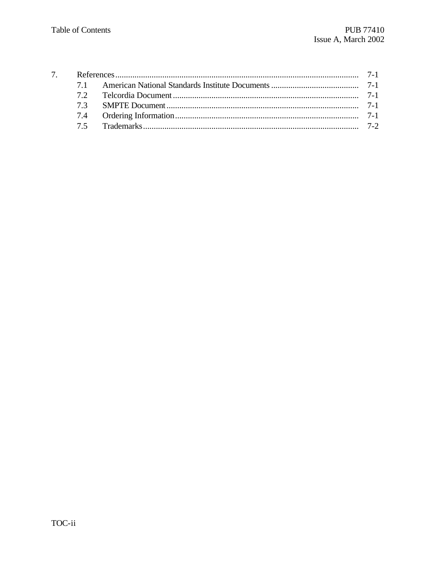| 73 |  |
|----|--|
|    |  |
|    |  |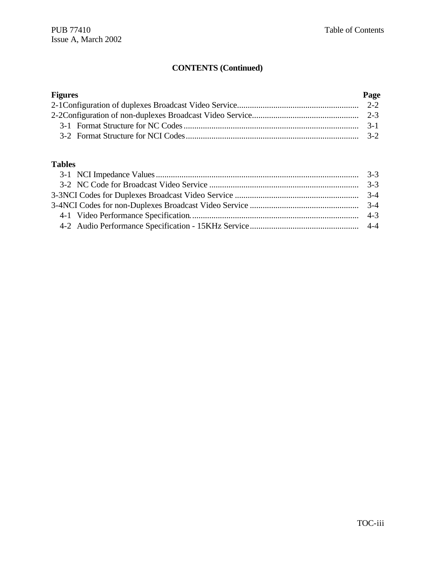# **CONTENTS (Continued)**

| <b>Figures</b> | Page |
|----------------|------|
|                |      |
|                |      |
|                |      |
|                |      |

### **Tables**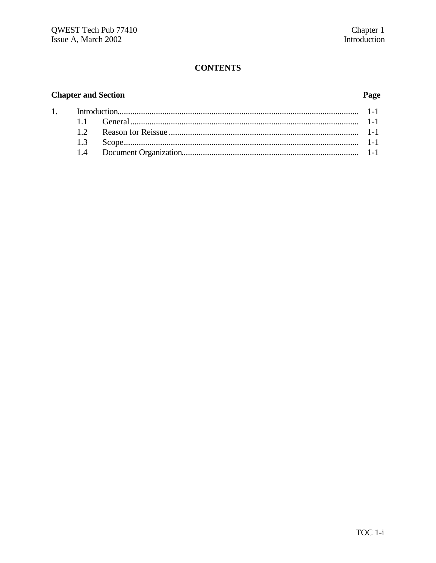# **Chapter and Section**

 $\overline{1}$ .

# Page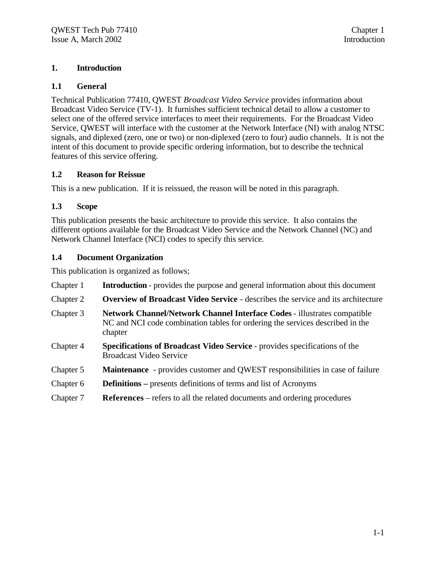#### **1. Introduction**

#### **1.1 General**

Technical Publication 77410, QWEST *Broadcast Video Service* provides information about Broadcast Video Service (TV-1). It furnishes sufficient technical detail to allow a customer to select one of the offered service interfaces to meet their requirements. For the Broadcast Video Service, QWEST will interface with the customer at the Network Interface (NI) with analog NTSC signals, and diplexed (zero, one or two) or non-diplexed (zero to four) audio channels. It is not the intent of this document to provide specific ordering information, but to describe the technical features of this service offering.

#### **1.2 Reason for Reissue**

This is a new publication. If it is reissued, the reason will be noted in this paragraph.

#### **1.3 Scope**

This publication presents the basic architecture to provide this service. It also contains the different options available for the Broadcast Video Service and the Network Channel (NC) and Network Channel Interface (NCI) codes to specify this service.

#### **1.4 Document Organization**

This publication is organized as follows;

Chapter 1 **Introduction** - provides the purpose and general information about this document Chapter 2 **Overview of Broadcast Video Service** - describes the service and its architecture Chapter 3 **Network Channel/Network Channel Interface Codes** - illustrates compatible NC and NCI code combination tables for ordering the services described in the chapter Chapter 4 **Specifications of Broadcast Video Service** - provides specifications of the Broadcast Video Service Chapter 5 **Maintenance** - provides customer and QWEST responsibilities in case of failure Chapter 6 **Definitions –** presents definitions of terms and list of Acronyms Chapter 7 **References** – refers to all the related documents and ordering procedures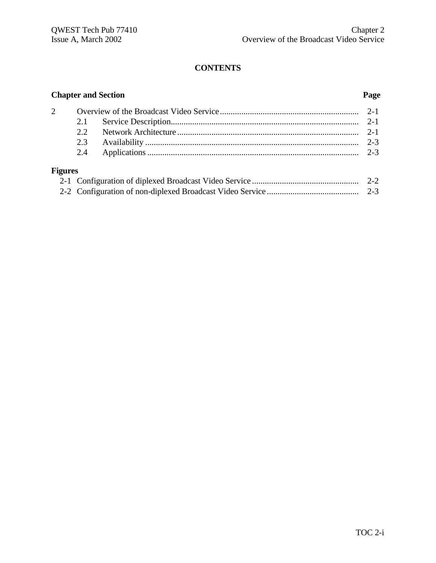|                | <b>Chapter and Section</b><br>Page |  |         |
|----------------|------------------------------------|--|---------|
| 2              |                                    |  |         |
|                | 2.1                                |  |         |
|                | 2.2                                |  |         |
|                | 2.3                                |  | $2 - 3$ |
|                | 2.4                                |  | $2 - 3$ |
| <b>Figures</b> |                                    |  |         |
|                |                                    |  |         |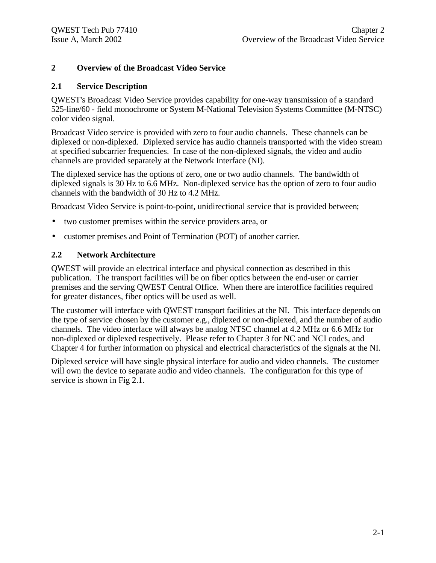#### **2 Overview of the Broadcast Video Service**

#### **2.1 Service Description**

QWEST's Broadcast Video Service provides capability for one-way transmission of a standard 525-line/60 - field monochrome or System M-National Television Systems Committee (M-NTSC) color video signal.

Broadcast Video service is provided with zero to four audio channels. These channels can be diplexed or non-diplexed. Diplexed service has audio channels transported with the video stream at specified subcarrier frequencies. In case of the non-diplexed signals, the video and audio channels are provided separately at the Network Interface (NI).

The diplexed service has the options of zero, one or two audio channels. The bandwidth of diplexed signals is 30 Hz to 6.6 MHz. Non-diplexed service has the option of zero to four audio channels with the bandwidth of 30 Hz to 4.2 MHz.

Broadcast Video Service is point-to-point, unidirectional service that is provided between;

- two customer premises within the service providers area, or
- customer premises and Point of Termination (POT) of another carrier.

#### **2.2 Network Architecture**

QWEST will provide an electrical interface and physical connection as described in this publication. The transport facilities will be on fiber optics between the end-user or carrier premises and the serving QWEST Central Office. When there are interoffice facilities required for greater distances, fiber optics will be used as well.

The customer will interface with QWEST transport facilities at the NI. This interface depends on the type of service chosen by the customer e.g., diplexed or non-diplexed, and the number of audio channels. The video interface will always be analog NTSC channel at 4.2 MHz or 6.6 MHz for non-diplexed or diplexed respectively. Please refer to Chapter 3 for NC and NCI codes, and Chapter 4 for further information on physical and electrical characteristics of the signals at the NI.

Diplexed service will have single physical interface for audio and video channels. The customer will own the device to separate audio and video channels. The configuration for this type of service is shown in Fig 2.1.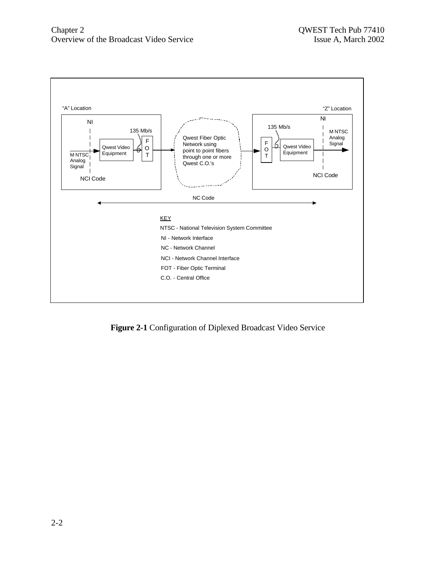

**Figure 2-1** Configuration of Diplexed Broadcast Video Service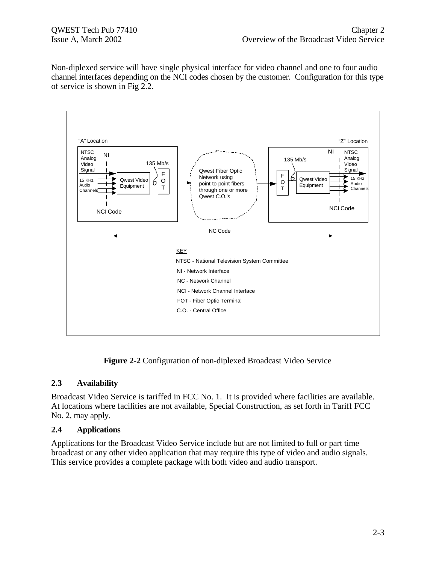Non-diplexed service will have single physical interface for video channel and one to four audio channel interfaces depending on the NCI codes chosen by the customer. Configuration for this type of service is shown in Fig 2.2.



**Figure 2-2** Configuration of non-diplexed Broadcast Video Service

#### **2.3 Availability**

Broadcast Video Service is tariffed in FCC No. 1. It is provided where facilities are available. At locations where facilities are not available, Special Construction, as set forth in Tariff FCC No. 2, may apply.

#### **2.4 Applications**

Applications for the Broadcast Video Service include but are not limited to full or part time broadcast or any other video application that may require this type of video and audio signals. This service provides a complete package with both video and audio transport.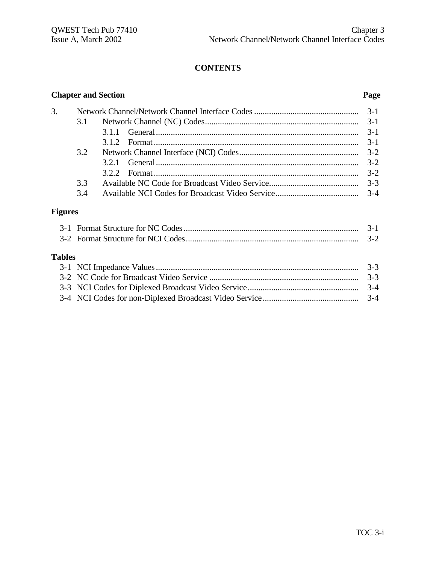|                | <b>Chapter and Section</b><br>Page |                                                                                                                          |            |
|----------------|------------------------------------|--------------------------------------------------------------------------------------------------------------------------|------------|
| 3.             |                                    |                                                                                                                          | $3-1$      |
|                | 3.1                                |                                                                                                                          | $3-1$      |
|                |                                    | 3.1.1                                                                                                                    | $3-1$      |
|                |                                    |                                                                                                                          | $3-1$      |
|                | 3.2                                |                                                                                                                          | $3-2$      |
|                |                                    | 3.2.1                                                                                                                    | $3-2$      |
|                |                                    |                                                                                                                          | $3-2$      |
|                | 3.3                                |                                                                                                                          | $3 - 3$    |
|                | 3.4                                |                                                                                                                          | $3-4$      |
| <b>Figures</b> |                                    |                                                                                                                          |            |
|                |                                    | $2.1$ F <sub>rance</sub> $\theta$ <sub>trans</sub> $\theta$ <sub>ra</sub> MC $\theta$ <sub>r</sub> $\theta$ <sub>r</sub> | $\gamma$ 1 |

| <b>Tables</b> |  |
|---------------|--|
|               |  |
|               |  |
|               |  |
|               |  |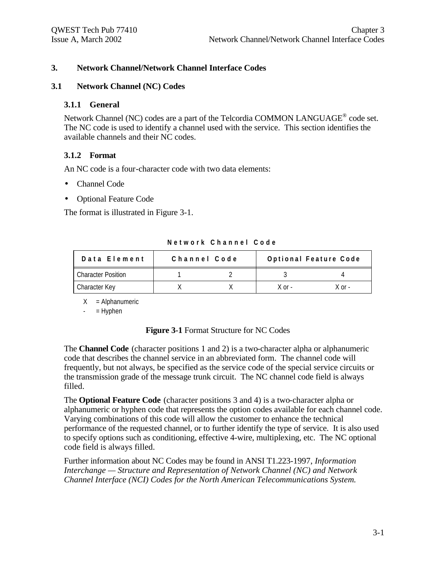#### **3. Network Channel/Network Channel Interface Codes**

#### **3.1 Network Channel (NC) Codes**

#### **3.1.1 General**

Network Channel (NC) codes are a part of the Telcordia COMMON LANGUAGE<sup>®</sup> code set. The NC code is used to identify a channel used with the service. This section identifies the available channels and their NC codes.

#### **3.1.2 Format**

An NC code is a four-character code with two data elements:

- Channel Code
- Optional Feature Code

The format is illustrated in Figure 3-1.

| Data Element              | Channel Code | Optional Feature Code |        |
|---------------------------|--------------|-----------------------|--------|
| <b>Character Position</b> |              |                       |        |
| Character Key             |              | $X$ or $-$            | X ∩r - |

**Network Channel Code**

 $X =$  Alphanumeric

 $=$  Hyphen

#### **Figure 3-1** Format Structure for NC Codes

The **Channel Code** (character positions 1 and 2) is a two-character alpha or alphanumeric code that describes the channel service in an abbreviated form. The channel code will frequently, but not always, be specified as the service code of the special service circuits or the transmission grade of the message trunk circuit. The NC channel code field is always filled.

The **Optional Feature Code** (character positions 3 and 4) is a two-character alpha or alphanumeric or hyphen code that represents the option codes available for each channel code. Varying combinations of this code will allow the customer to enhance the technical performance of the requested channel, or to further identify the type of service. It is also used to specify options such as conditioning, effective 4-wire, multiplexing, etc. The NC optional code field is always filled.

Further information about NC Codes may be found in ANSI T1.223-1997, *Information Interchange — Structure and Representation of Network Channel (NC) and Network Channel Interface (NCI) Codes for the North American Telecommunications System.*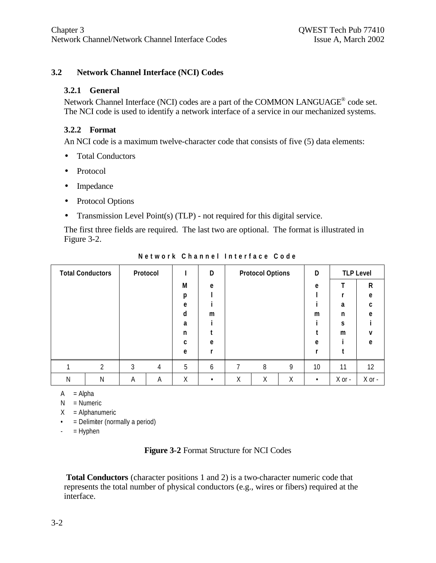### **3.2 Network Channel Interface (NCI) Codes**

#### **3.2.1 General**

Network Channel Interface (NCI) codes are a part of the COMMON LANGUAGE<sup>®</sup> code set. The NCI code is used to identify a network interface of a service in our mechanized systems.

#### **3.2.2 Format**

An NCI code is a maximum twelve-character code that consists of five (5) data elements:

- Total Conductors
- Protocol
- Impedance
- Protocol Options
- Transmission Level Point(s) (TLP) not required for this digital service.

The first three fields are required. The last two are optional. The format is illustrated in Figure 3-2.

| <b>Total Conductors</b> |   |   | Protocol |   | D |   | <b>Protocol Options</b> |   | D         |            | <b>TLP Level</b> |
|-------------------------|---|---|----------|---|---|---|-------------------------|---|-----------|------------|------------------|
|                         |   |   |          | М | e |   |                         |   | e         |            | ${\sf R}$        |
|                         |   |   |          | p |   |   |                         |   |           |            | e                |
|                         |   |   |          | e |   |   |                         |   |           | a          | C                |
|                         |   |   |          | d | m |   |                         |   | m         | n          | e                |
|                         |   |   |          | a |   |   |                         |   |           | S          |                  |
|                         |   |   |          | n |   |   |                         |   |           | m          | v                |
|                         |   |   |          | C | e |   |                         |   | e         |            | e                |
|                         |   |   |          | e |   |   |                         |   |           |            |                  |
|                         | ↑ | 3 | 4        | 5 | 6 | 7 | 8                       | 9 | 10        | 11         | 12               |
| N                       | Ν | Α | A        | Χ | ٠ | Χ | Χ                       | Χ | $\bullet$ | $X$ or $-$ | $X$ or -         |

**Network Channel Interface Code**

 $A = Alpha$ 

 $N =$  Numeric

 $X =$  Alphanumeric

- = Delimiter (normally a period)
- $-$  = Hyphen

#### **Figure 3-2** Format Structure for NCI Codes

**Total Conductors** (character positions 1 and 2) is a two-character numeric code that represents the total number of physical conductors (e.g., wires or fibers) required at the interface.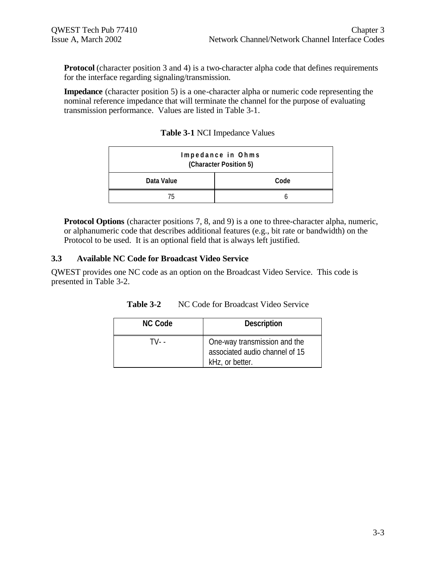**Protocol** (character position 3 and 4) is a two-character alpha code that defines requirements for the interface regarding signaling/transmission.

**Impedance** (character position 5) is a one-character alpha or numeric code representing the nominal reference impedance that will terminate the channel for the purpose of evaluating transmission performance. Values are listed in Table 3-1.

| Impedance in Ohms<br>(Character Position 5) |      |  |
|---------------------------------------------|------|--|
| Data Value                                  | Code |  |
| 75                                          |      |  |

**Table 3-1** NCI Impedance Values

**Protocol Options** (character positions 7, 8, and 9) is a one to three-character alpha, numeric, or alphanumeric code that describes additional features (e.g., bit rate or bandwidth) on the Protocol to be used. It is an optional field that is always left justified.

#### **3.3 Available NC Code for Broadcast Video Service**

QWEST provides one NC code as an option on the Broadcast Video Service. This code is presented in Table 3-2.

| Table 3-2 | NC Code for Broadcast Video Service |
|-----------|-------------------------------------|
| NC Code   | <b>Description</b>                  |

| <b>NC Code</b> | <b>Description</b>                                                                |
|----------------|-----------------------------------------------------------------------------------|
| TV- -          | One-way transmission and the<br>associated audio channel of 15<br>kHz, or better. |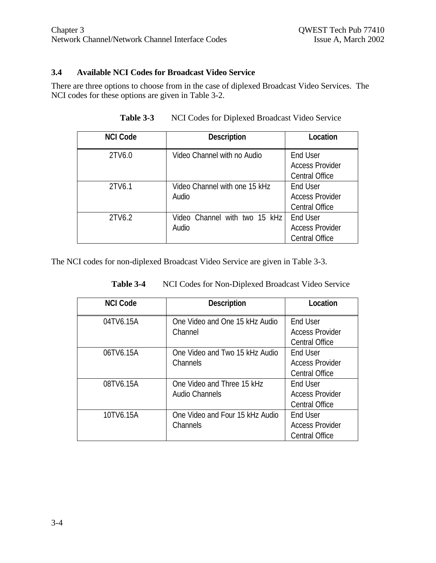#### **3.4 Available NCI Codes for Broadcast Video Service**

There are three options to choose from in the case of diplexed Broadcast Video Services. The NCI codes for these options are given in Table 3-2.

| <b>NCI Code</b> | <b>Description</b>                     | Location                                                    |
|-----------------|----------------------------------------|-------------------------------------------------------------|
| 2TV6.0          | Video Channel with no Audio            | End User<br><b>Access Provider</b><br><b>Central Office</b> |
| 2TV6.1          | Video Channel with one 15 kHz<br>Audio | End User<br><b>Access Provider</b><br><b>Central Office</b> |
| 2TV6.2          | Video Channel with two 15 kHz<br>Audio | End User<br><b>Access Provider</b><br><b>Central Office</b> |

**Table 3-3** NCI Codes for Diplexed Broadcast Video Service

The NCI codes for non-diplexed Broadcast Video Service are given in Table 3-3.

| <b>NCI Code</b> | <b>Description</b>                                | Location                                                    |
|-----------------|---------------------------------------------------|-------------------------------------------------------------|
| 04TV6.15A       | One Video and One 15 kHz Audio<br>Channel         | End User<br><b>Access Provider</b><br><b>Central Office</b> |
| 06TV6.15A       | One Video and Two 15 kHz Audio<br><b>Channels</b> | End User<br><b>Access Provider</b><br><b>Central Office</b> |
| 08TV6.15A       | One Video and Three 15 kHz<br>Audio Channels      | End User<br><b>Access Provider</b><br><b>Central Office</b> |
| 10TV6.15A       | One Video and Four 15 kHz Audio<br>Channels       | End User<br><b>Access Provider</b><br><b>Central Office</b> |

**Table 3-4** NCI Codes for Non-Diplexed Broadcast Video Service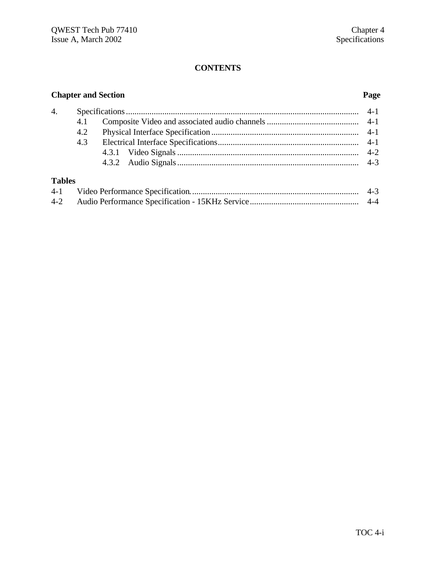# **Chapter and Section Page**

| 4. |     |  |
|----|-----|--|
|    |     |  |
|    |     |  |
|    | 4.3 |  |
|    |     |  |
|    |     |  |
|    |     |  |

# **Tables**

| $4 - 1$ | $4 - 3$ |
|---------|---------|
| $4 - 2$ | $4 - 4$ |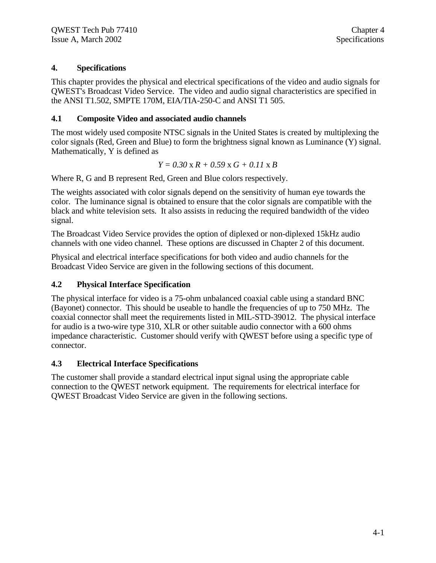# **4. Specifications**

This chapter provides the physical and electrical specifications of the video and audio signals for QWEST's Broadcast Video Service. The video and audio signal characteristics are specified in the ANSI T1.502, SMPTE 170M, EIA/TIA-250-C and ANSI T1 505.

### **4.1 Composite Video and associated audio channels**

The most widely used composite NTSC signals in the United States is created by multiplexing the color signals (Red, Green and Blue) to form the brightness signal known as Luminance (Y) signal. Mathematically, Y is defined as

$$
Y = 0.30 \times R + 0.59 \times G + 0.11 \times B
$$

Where R, G and B represent Red, Green and Blue colors respectively.

The weights associated with color signals depend on the sensitivity of human eye towards the color. The luminance signal is obtained to ensure that the color signals are compatible with the black and white television sets. It also assists in reducing the required bandwidth of the video signal.

The Broadcast Video Service provides the option of diplexed or non-diplexed 15kHz audio channels with one video channel. These options are discussed in Chapter 2 of this document.

Physical and electrical interface specifications for both video and audio channels for the Broadcast Video Service are given in the following sections of this document.

### **4.2 Physical Interface Specification**

The physical interface for video is a 75-ohm unbalanced coaxial cable using a standard BNC (Bayonet) connector. This should be useable to handle the frequencies of up to 750 MHz. The coaxial connector shall meet the requirements listed in MIL-STD-39012. The physical interface for audio is a two-wire type 310, XLR or other suitable audio connector with a 600 ohms impedance characteristic. Customer should verify with QWEST before using a specific type of connector.

# **4.3 Electrical Interface Specifications**

The customer shall provide a standard electrical input signal using the appropriate cable connection to the QWEST network equipment. The requirements for electrical interface for QWEST Broadcast Video Service are given in the following sections.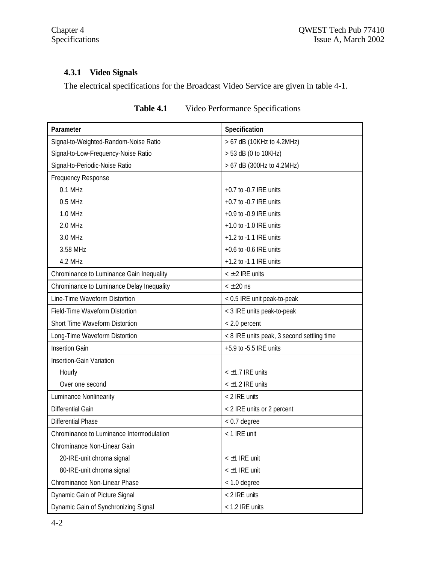# **4.3.1 Video Signals**

The electrical specifications for the Broadcast Video Service are given in table 4-1.

| Parameter                                 | Specification                              |
|-------------------------------------------|--------------------------------------------|
| Signal-to-Weighted-Random-Noise Ratio     | > 67 dB (10KHz to 4.2MHz)                  |
| Signal-to-Low-Frequency-Noise Ratio       | > 53 dB (0 to 10KHz)                       |
| Signal-to-Periodic-Noise Ratio            | > 67 dB (300Hz to 4.2MHz)                  |
| Frequency Response                        |                                            |
| $0.1$ MHz                                 | +0.7 to -0.7 IRE units                     |
| $0.5$ MHz                                 | $+0.7$ to $-0.7$ IRE units                 |
| 1.0 MHz                                   | $+0.9$ to $-0.9$ IRE units                 |
| 2.0 MHz                                   | +1.0 to -1.0 IRE units                     |
| 3.0 MHz                                   | $+1.2$ to $-1.1$ IRE units                 |
| 3.58 MHz                                  | $+0.6$ to $-0.6$ IRE units                 |
| 4.2 MHz                                   | $+1.2$ to -1.1 IRE units                   |
| Chrominance to Luminance Gain Inequality  | $<$ $\pm$ 2 IRE units                      |
| Chrominance to Luminance Delay Inequality | $< \pm 20$ ns                              |
| Line-Time Waveform Distortion             | < 0.5 IRE unit peak-to-peak                |
| Field-Time Waveform Distortion            | < 3 IRE units peak-to-peak                 |
| Short Time Waveform Distortion            | < 2.0 percent                              |
| Long-Time Waveform Distortion             | < 8 IRE units peak, 3 second settling time |
| <b>Insertion Gain</b>                     | +5.9 to -5.5 IRE units                     |
| Insertion-Gain Variation                  |                                            |
| Hourly                                    | < ±1.7 IRE units                           |
| Over one second                           | $<$ $\pm$ 1.2 IRE units                    |
| Luminance Nonlinearity                    | < 2 IRE units                              |
| Differential Gain                         | < 2 IRE units or 2 percent                 |
| Differential Phase                        | $< 0.7$ degree                             |
| Chrominance to Luminance Intermodulation  | < 1 IRE unit                               |
| Chrominance Non-Linear Gain               |                                            |
| 20-IRE-unit chroma signal                 | < ±1 IRE unit                              |
| 80-IRE-unit chroma signal                 | < ±1 IRE unit                              |
| Chrominance Non-Linear Phase              | < 1.0 degree                               |
| Dynamic Gain of Picture Signal            | < 2 IRE units                              |
| Dynamic Gain of Synchronizing Signal      | < 1.2 IRE units                            |

**Table 4.1** Video Performance Specifications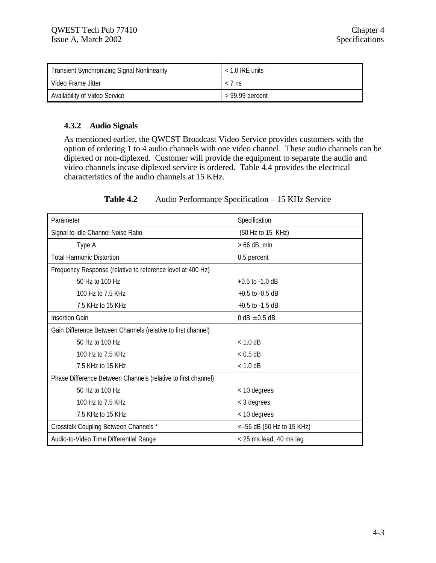| <b>Transient Synchronizing Signal Nonlinearity</b> | $<$ 1.0 IRE units |
|----------------------------------------------------|-------------------|
| Video Frame Jitter                                 | $< 7$ ns          |
| Availability of Video Service                      | > 99.99 percent   |

#### **4.3.2 Audio Signals**

As mentioned earlier, the QWEST Broadcast Video Service provides customers with the option of ordering 1 to 4 audio channels with one video channel. These audio channels can be diplexed or non-diplexed. Customer will provide the equipment to separate the audio and video channels incase diplexed service is ordered. Table 4.4 provides the electrical characteristics of the audio channels at 15 KHz.

#### **Table 4.2** Audio Performance Specification – 15 KHz Service

| Parameter                                                     | Specification              |
|---------------------------------------------------------------|----------------------------|
| Signal to Idle Channel Noise Ratio                            | (50 Hz to 15 KHz)          |
| Type A                                                        | $> 66$ dB, min             |
| <b>Total Harmonic Distortion</b>                              | 0.5 percent                |
| Frequency Response (relative to reference level at 400 Hz)    |                            |
| 50 Hz to 100 Hz                                               | $+0.5$ to $-1.0$ dB        |
| 100 Hz to 7.5 KHz                                             | $+0.5$ to $-0.5$ dB        |
| 7.5 KHz to 15 KHz                                             | $+0.5$ to $-1.5$ dB        |
| <b>Insertion Gain</b>                                         | $0 dB \pm 0.5 dB$          |
| Gain Difference Between Channels (relative to first channel)  |                            |
| 50 Hz to 100 Hz                                               | $< 1.0$ dB                 |
| 100 Hz to 7.5 KHz                                             | $< 0.5$ dB                 |
| 7.5 KHz to 15 KHz                                             | $< 1.0$ dB                 |
| Phase Difference Between Channels (relative to first channel) |                            |
| 50 Hz to 100 Hz                                               | < 10 degrees               |
| 100 Hz to 7.5 KHz                                             | < 3 degrees                |
| 7.5 KHz to 15 KHz                                             | < 10 degrees               |
| Crosstalk Coupling Between Channels *                         | < -56 dB (50 Hz to 15 KHz) |
| Audio-to-Video Time Differential Range                        | < 25 ms lead, 40 ms lag    |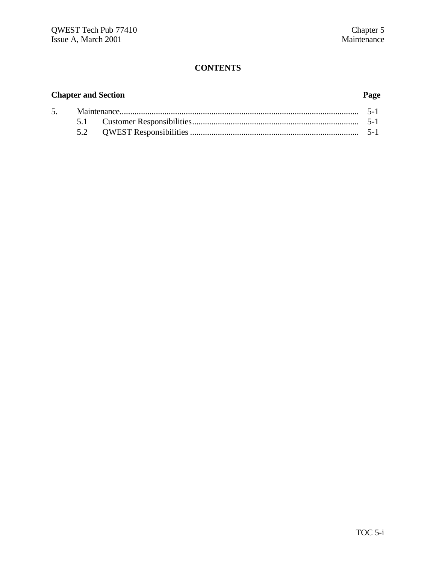# **Chapter and Section Page**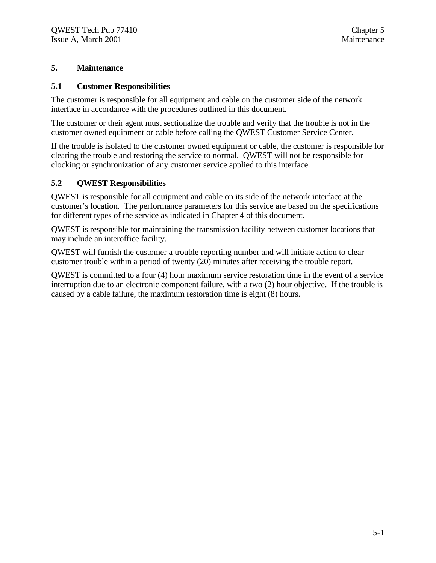#### **5. Maintenance**

#### **5.1 Customer Responsibilities**

The customer is responsible for all equipment and cable on the customer side of the network interface in accordance with the procedures outlined in this document.

The customer or their agent must sectionalize the trouble and verify that the trouble is not in the customer owned equipment or cable before calling the QWEST Customer Service Center.

If the trouble is isolated to the customer owned equipment or cable, the customer is responsible for clearing the trouble and restoring the service to normal. QWEST will not be responsible for clocking or synchronization of any customer service applied to this interface.

#### **5.2 QWEST Responsibilities**

QWEST is responsible for all equipment and cable on its side of the network interface at the customer's location. The performance parameters for this service are based on the specifications for different types of the service as indicated in Chapter 4 of this document.

QWEST is responsible for maintaining the transmission facility between customer locations that may include an interoffice facility.

QWEST will furnish the customer a trouble reporting number and will initiate action to clear customer trouble within a period of twenty (20) minutes after receiving the trouble report.

QWEST is committed to a four (4) hour maximum service restoration time in the event of a service interruption due to an electronic component failure, with a two (2) hour objective. If the trouble is caused by a cable failure, the maximum restoration time is eight (8) hours.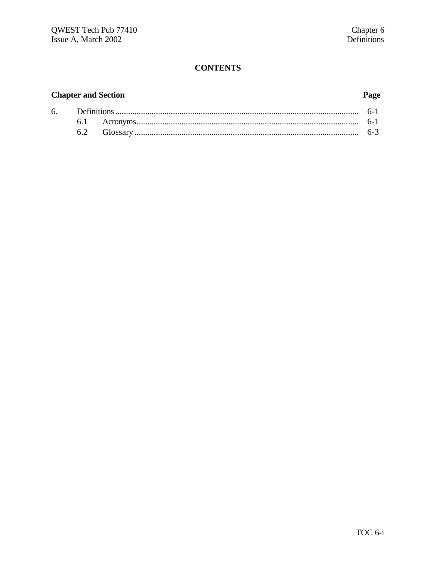# **Chapter and Section**

# Page

|  |  | $h - 3$ |
|--|--|---------|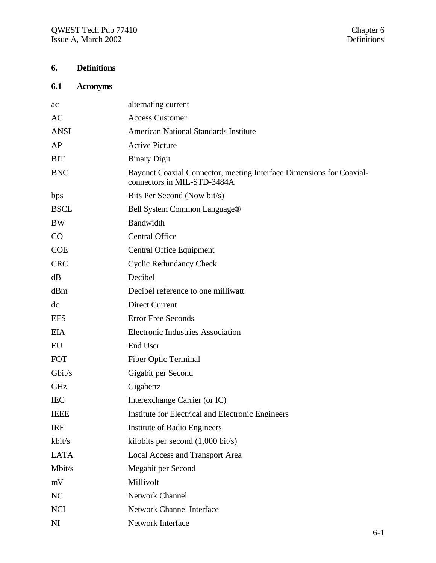# **6. Definitions**

# **6.1 Acronyms**

| ac             | alternating current                                                                                 |
|----------------|-----------------------------------------------------------------------------------------------------|
| AC             | <b>Access Customer</b>                                                                              |
| <b>ANSI</b>    | <b>American National Standards Institute</b>                                                        |
| AP             | <b>Active Picture</b>                                                                               |
| <b>BIT</b>     | <b>Binary Digit</b>                                                                                 |
| <b>BNC</b>     | Bayonet Coaxial Connector, meeting Interface Dimensions for Coaxial-<br>connectors in MIL-STD-3484A |
| bps            | Bits Per Second (Now bit/s)                                                                         |
| <b>BSCL</b>    | Bell System Common Language <sup>®</sup>                                                            |
| <b>BW</b>      | Bandwidth                                                                                           |
| CO             | <b>Central Office</b>                                                                               |
| <b>COE</b>     | Central Office Equipment                                                                            |
| <b>CRC</b>     | <b>Cyclic Redundancy Check</b>                                                                      |
| dB             | Decibel                                                                                             |
| dBm            | Decibel reference to one milliwatt                                                                  |
| dc             | <b>Direct Current</b>                                                                               |
| <b>EFS</b>     | <b>Error Free Seconds</b>                                                                           |
| <b>EIA</b>     | <b>Electronic Industries Association</b>                                                            |
| EU             | End User                                                                                            |
| <b>FOT</b>     | <b>Fiber Optic Terminal</b>                                                                         |
| Gbit/s         | Gigabit per Second                                                                                  |
| <b>GHz</b>     | Gigahertz                                                                                           |
| <b>IEC</b>     | Interexchange Carrier (or IC)                                                                       |
| <b>IEEE</b>    | Institute for Electrical and Electronic Engineers                                                   |
| <b>IRE</b>     | Institute of Radio Engineers                                                                        |
| kbit/s         | kilobits per second $(1,000 \text{ bit/s})$                                                         |
| <b>LATA</b>    | Local Access and Transport Area                                                                     |
| Mbit/s         | Megabit per Second                                                                                  |
| mV             | Millivolt                                                                                           |
| NC             | Network Channel                                                                                     |
| <b>NCI</b>     | <b>Network Channel Interface</b>                                                                    |
| N <sub>I</sub> | Network Interface                                                                                   |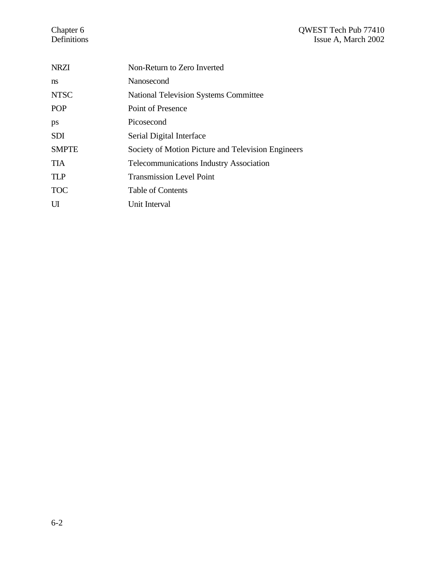#### Chapter 6 QWEST Tech Pub 77410 Definitions Issue A, March 2002

| <b>NRZI</b>  | Non-Return to Zero Inverted                        |
|--------------|----------------------------------------------------|
| ns           | Nanosecond                                         |
| <b>NTSC</b>  | <b>National Television Systems Committee</b>       |
| <b>POP</b>   | Point of Presence                                  |
| ps           | Picosecond                                         |
| <b>SDI</b>   | Serial Digital Interface                           |
| <b>SMPTE</b> | Society of Motion Picture and Television Engineers |
| <b>TIA</b>   | <b>Telecommunications Industry Association</b>     |
| <b>TLP</b>   | <b>Transmission Level Point</b>                    |
| <b>TOC</b>   | <b>Table of Contents</b>                           |
| UI           | Unit Interval                                      |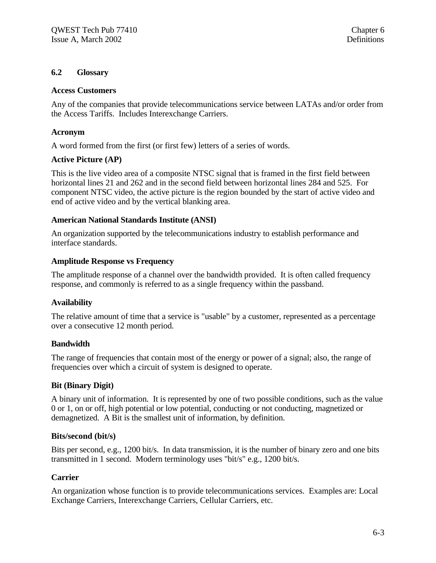#### **6.2 Glossary**

#### **Access Customers**

Any of the companies that provide telecommunications service between LATAs and/or order from the Access Tariffs. Includes Interexchange Carriers.

#### **Acronym**

A word formed from the first (or first few) letters of a series of words.

#### **Active Picture (AP)**

This is the live video area of a composite NTSC signal that is framed in the first field between horizontal lines 21 and 262 and in the second field between horizontal lines 284 and 525. For component NTSC video, the active picture is the region bounded by the start of active video and end of active video and by the vertical blanking area.

#### **American National Standards Institute (ANSI)**

An organization supported by the telecommunications industry to establish performance and interface standards.

#### **Amplitude Response vs Frequency**

The amplitude response of a channel over the bandwidth provided. It is often called frequency response, and commonly is referred to as a single frequency within the passband.

#### **Availability**

The relative amount of time that a service is "usable" by a customer, represented as a percentage over a consecutive 12 month period.

#### **Bandwidth**

The range of frequencies that contain most of the energy or power of a signal; also, the range of frequencies over which a circuit of system is designed to operate.

#### **Bit (Binary Digit)**

A binary unit of information. It is represented by one of two possible conditions, such as the value 0 or 1, on or off, high potential or low potential, conducting or not conducting, magnetized or demagnetized. A Bit is the smallest unit of information, by definition.

#### **Bits/second (bit/s)**

Bits per second, e.g., 1200 bit/s. In data transmission, it is the number of binary zero and one bits transmitted in 1 second. Modern terminology uses "bit/s" e.g., 1200 bit/s.

#### **Carrier**

An organization whose function is to provide telecommunications services. Examples are: Local Exchange Carriers, Interexchange Carriers, Cellular Carriers, etc.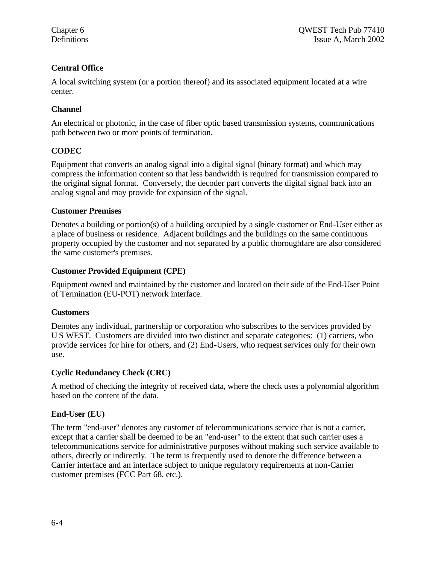# **Central Office**

A local switching system (or a portion thereof) and its associated equipment located at a wire center.

# **Channel**

An electrical or photonic, in the case of fiber optic based transmission systems, communications path between two or more points of termination.

# **CODEC**

Equipment that converts an analog signal into a digital signal (binary format) and which may compress the information content so that less bandwidth is required for transmission compared to the original signal format. Conversely, the decoder part converts the digital signal back into an analog signal and may provide for expansion of the signal.

# **Customer Premises**

Denotes a building or portion(s) of a building occupied by a single customer or End-User either as a place of business or residence. Adjacent buildings and the buildings on the same continuous property occupied by the customer and not separated by a public thoroughfare are also considered the same customer's premises.

# **Customer Provided Equipment (CPE)**

Equipment owned and maintained by the customer and located on their side of the End-User Point of Termination (EU-POT) network interface.

# **Customers**

Denotes any individual, partnership or corporation who subscribes to the services provided by U S WEST. Customers are divided into two distinct and separate categories: (1) carriers, who provide services for hire for others, and (2) End-Users, who request services only for their own use.

# **Cyclic Redundancy Check (CRC)**

A method of checking the integrity of received data, where the check uses a polynomial algorithm based on the content of the data.

# **End-User (EU)**

The term "end-user" denotes any customer of telecommunications service that is not a carrier, except that a carrier shall be deemed to be an "end-user" to the extent that such carrier uses a telecommunications service for administrative purposes without making such service available to others, directly or indirectly. The term is frequently used to denote the difference between a Carrier interface and an interface subject to unique regulatory requirements at non-Carrier customer premises (FCC Part 68, etc.).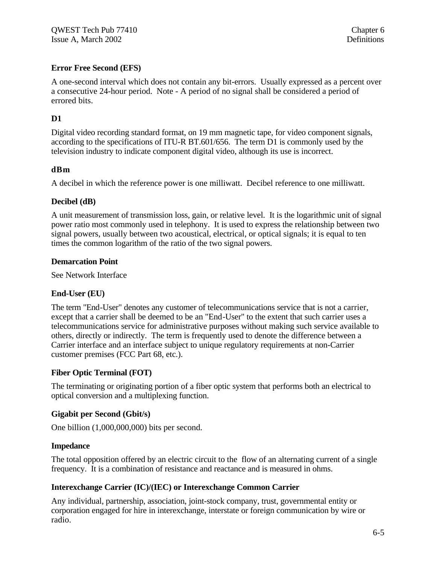# **Error Free Second (EFS)**

A one-second interval which does not contain any bit-errors. Usually expressed as a percent over a consecutive 24-hour period. Note - A period of no signal shall be considered a period of errored bits.

# **D1**

Digital video recording standard format, on 19 mm magnetic tape, for video component signals, according to the specifications of ITU-R BT.601/656. The term D1 is commonly used by the television industry to indicate component digital video, although its use is incorrect.

#### **dBm**

A decibel in which the reference power is one milliwatt. Decibel reference to one milliwatt.

#### **Decibel (dB)**

A unit measurement of transmission loss, gain, or relative level. It is the logarithmic unit of signal power ratio most commonly used in telephony. It is used to express the relationship between two signal powers, usually between two acoustical, electrical, or optical signals; it is equal to ten times the common logarithm of the ratio of the two signal powers.

#### **Demarcation Point**

See Network Interface

#### **End-User (EU)**

The term "End-User" denotes any customer of telecommunications service that is not a carrier, except that a carrier shall be deemed to be an "End-User" to the extent that such carrier uses a telecommunications service for administrative purposes without making such service available to others, directly or indirectly. The term is frequently used to denote the difference between a Carrier interface and an interface subject to unique regulatory requirements at non-Carrier customer premises (FCC Part 68, etc.).

#### **Fiber Optic Terminal (FOT)**

The terminating or originating portion of a fiber optic system that performs both an electrical to optical conversion and a multiplexing function.

#### **Gigabit per Second (Gbit/s)**

One billion (1,000,000,000) bits per second.

#### **Impedance**

The total opposition offered by an electric circuit to the flow of an alternating current of a single frequency. It is a combination of resistance and reactance and is measured in ohms.

#### **Interexchange Carrier (IC)/(IEC) or Interexchange Common Carrier**

Any individual, partnership, association, joint-stock company, trust, governmental entity or corporation engaged for hire in interexchange, interstate or foreign communication by wire or radio.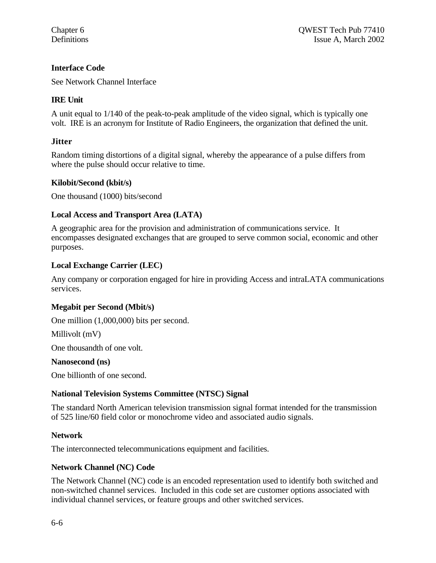#### **Interface Code**

See Network Channel Interface

#### **IRE Unit**

A unit equal to 1/140 of the peak-to-peak amplitude of the video signal, which is typically one volt. IRE is an acronym for Institute of Radio Engineers, the organization that defined the unit.

#### **Jitter**

Random timing distortions of a digital signal, whereby the appearance of a pulse differs from where the pulse should occur relative to time.

#### **Kilobit/Second (kbit/s)**

One thousand (1000) bits/second

#### **Local Access and Transport Area (LATA)**

A geographic area for the provision and administration of communications service. It encompasses designated exchanges that are grouped to serve common social, economic and other purposes.

#### **Local Exchange Carrier (LEC)**

Any company or corporation engaged for hire in providing Access and intraLATA communications services.

#### **Megabit per Second (Mbit/s)**

One million (1,000,000) bits per second.

Millivolt (mV)

One thousandth of one volt.

#### **Nanosecond (ns)**

One billionth of one second.

#### **National Television Systems Committee (NTSC) Signal**

The standard North American television transmission signal format intended for the transmission of 525 line/60 field color or monochrome video and associated audio signals.

#### **Network**

The interconnected telecommunications equipment and facilities.

#### **Network Channel (NC) Code**

The Network Channel (NC) code is an encoded representation used to identify both switched and non-switched channel services. Included in this code set are customer options associated with individual channel services, or feature groups and other switched services.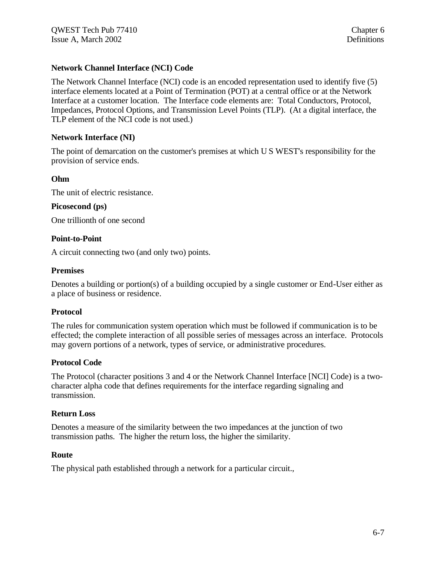### **Network Channel Interface (NCI) Code**

The Network Channel Interface (NCI) code is an encoded representation used to identify five (5) interface elements located at a Point of Termination (POT) at a central office or at the Network Interface at a customer location. The Interface code elements are: Total Conductors, Protocol, Impedances, Protocol Options, and Transmission Level Points (TLP). (At a digital interface, the TLP element of the NCI code is not used.)

#### **Network Interface (NI)**

The point of demarcation on the customer's premises at which U S WEST's responsibility for the provision of service ends.

#### **Ohm**

The unit of electric resistance.

#### **Picosecond (ps)**

One trillionth of one second

#### **Point-to-Point**

A circuit connecting two (and only two) points.

#### **Premises**

Denotes a building or portion(s) of a building occupied by a single customer or End-User either as a place of business or residence.

#### **Protocol**

The rules for communication system operation which must be followed if communication is to be effected; the complete interaction of all possible series of messages across an interface. Protocols may govern portions of a network, types of service, or administrative procedures.

#### **Protocol Code**

The Protocol (character positions 3 and 4 or the Network Channel Interface [NCI] Code) is a twocharacter alpha code that defines requirements for the interface regarding signaling and transmission.

#### **Return Loss**

Denotes a measure of the similarity between the two impedances at the junction of two transmission paths. The higher the return loss, the higher the similarity.

#### **Route**

The physical path established through a network for a particular circuit.,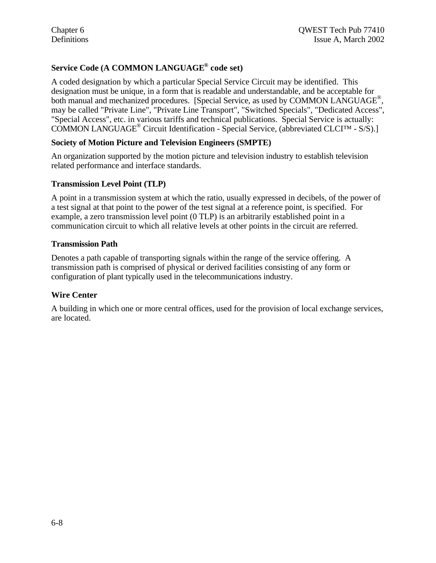# **Service Code (A COMMON LANGUAGE® code set)**

A coded designation by which a particular Special Service Circuit may be identified. This designation must be unique, in a form that is readable and understandable, and be acceptable for both manual and mechanized procedures. [Special Service, as used by COMMON LANGUAGE®, may be called "Private Line", "Private Line Transport", "Switched Specials", "Dedicated Access", "Special Access", etc. in various tariffs and technical publications. Special Service is actually: COMMON LANGUAGE<sup>®</sup> Circuit Identification - Special Service, (abbreviated CLCI™ - S/S).]

#### **Society of Motion Picture and Television Engineers (SMPTE)**

An organization supported by the motion picture and television industry to establish television related performance and interface standards.

#### **Transmission Level Point (TLP)**

A point in a transmission system at which the ratio, usually expressed in decibels, of the power of a test signal at that point to the power of the test signal at a reference point, is specified. For example, a zero transmission level point (0 TLP) is an arbitrarily established point in a communication circuit to which all relative levels at other points in the circuit are referred.

#### **Transmission Path**

Denotes a path capable of transporting signals within the range of the service offering. A transmission path is comprised of physical or derived facilities consisting of any form or configuration of plant typically used in the telecommunications industry.

#### **Wire Center**

A building in which one or more central offices, used for the provision of local exchange services, are located.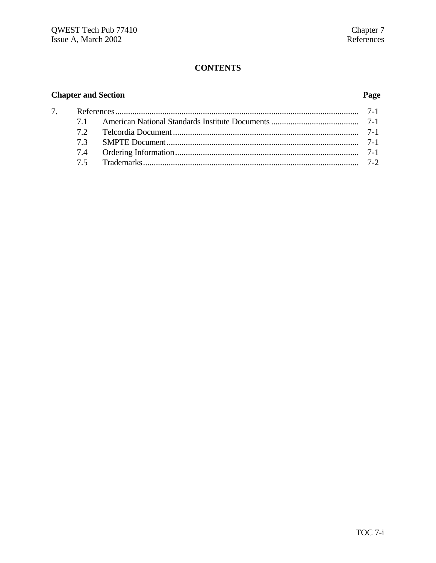# **Chapter and Section**

# Page

| 73 |  |  |
|----|--|--|
|    |  |  |
|    |  |  |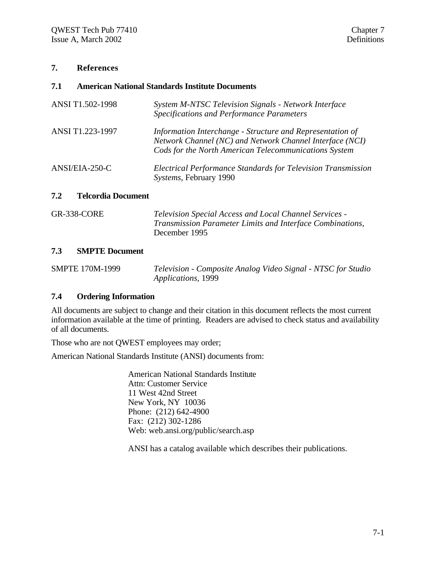#### **7. References**

#### **7.1 American National Standards Institute Documents**

| ANSI T1.502-1998 | System M-NTSC Television Signals - Network Interface<br><b>Specifications and Performance Parameters</b>                                                                       |
|------------------|--------------------------------------------------------------------------------------------------------------------------------------------------------------------------------|
| ANSI T1.223-1997 | Information Interchange - Structure and Representation of<br>Network Channel (NC) and Network Channel Interface (NCI)<br>Cods for the North American Telecommunications System |
| ANSI/EIA-250-C   | Electrical Performance Standards for Television Transmission<br>Systems, February 1990                                                                                         |

#### **7.2 Telcordia Document**

| GR-338-CORE | Television Special Access and Local Channel Services -    |
|-------------|-----------------------------------------------------------|
|             | Transmission Parameter Limits and Interface Combinations, |
|             | December 1995                                             |

#### **7.3 SMPTE Document**

| <b>SMPTE 170M-1999</b> | Television - Composite Analog Video Signal - NTSC for Studio |
|------------------------|--------------------------------------------------------------|
|                        | <i>Applications, 1999</i>                                    |

#### **7.4 Ordering Information**

All documents are subject to change and their citation in this document reflects the most current information available at the time of printing. Readers are advised to check status and availability of all documents.

Those who are not QWEST employees may order;

American National Standards Institute (ANSI) documents from:

American National Standards Institute Attn: Customer Service 11 West 42nd Street New York, NY 10036 Phone: (212) 642-4900 Fax: (212) 302-1286 Web: web.ansi.org/public/search.asp

ANSI has a catalog available which describes their publications.